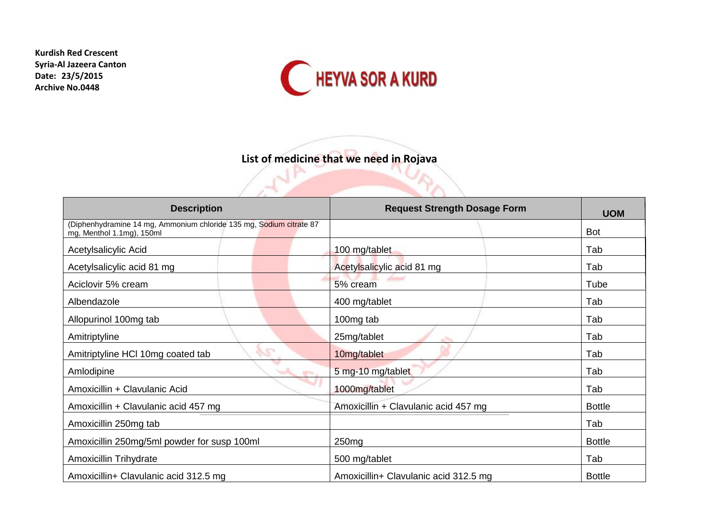**Kurdish Red Crescent Syria-Al Jazeera Canton Date: 23/5/2015 Archive No.0448**



**List of medicine that we need in Rojava** 

DV.

| <b>Description</b>                                                                               | <b>Request Strength Dosage Form</b>   | <b>UOM</b>    |
|--------------------------------------------------------------------------------------------------|---------------------------------------|---------------|
| (Diphenhydramine 14 mg, Ammonium chloride 135 mg, Sodium citrate 87<br>mg, Menthol 1.1mg), 150ml |                                       | <b>Bot</b>    |
| Acetylsalicylic Acid                                                                             | 100 mg/tablet                         | Tab           |
| Acetylsalicylic acid 81 mg                                                                       | Acetylsalicylic acid 81 mg            | Tab           |
| Aciclovir 5% cream                                                                               | 5% cream                              | Tube          |
| Albendazole                                                                                      | 400 mg/tablet                         | Tab           |
| Allopurinol 100mg tab                                                                            | 100mg tab                             | Tab           |
| Amitriptyline                                                                                    | 25mg/tablet                           | Tab           |
| <b>SS</b><br>Amitriptyline HCI 10mg coated tab                                                   | 10mg/tablet                           | Tab           |
| Amlodipine                                                                                       | 5 mg-10 mg/tablet                     | Tab           |
| Amoxicillin + Clavulanic Acid                                                                    | 1000mg/tablet                         | Tab           |
| Amoxicillin + Clavulanic acid 457 mg                                                             | Amoxicillin + Clavulanic acid 457 mg  | <b>Bottle</b> |
| Amoxicillin 250mg tab                                                                            |                                       | Tab           |
| Amoxicillin 250mg/5ml powder for susp 100ml                                                      | 250 <sub>mg</sub>                     | <b>Bottle</b> |
| <b>Amoxicillin Trihydrate</b>                                                                    | 500 mg/tablet                         | Tab           |
| Amoxicillin+ Clavulanic acid 312.5 mg                                                            | Amoxicillin+ Clavulanic acid 312.5 mg | <b>Bottle</b> |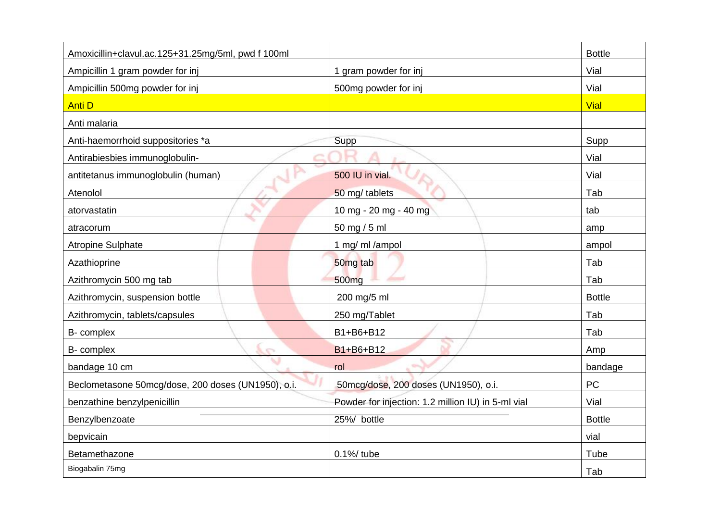| Amoxicillin+clavul.ac.125+31.25mg/5ml, pwd f 100ml |                                                    | <b>Bottle</b> |
|----------------------------------------------------|----------------------------------------------------|---------------|
| Ampicillin 1 gram powder for inj                   | 1 gram powder for inj                              | Vial          |
| Ampicillin 500mg powder for inj                    | 500mg powder for inj                               | Vial          |
| <b>Anti D</b>                                      |                                                    | Vial          |
| Anti malaria                                       |                                                    |               |
| Anti-haemorrhoid suppositories *a                  | Supp                                               | Supp          |
| Antirabiesbies immunoglobulin-                     |                                                    | Vial          |
| antitetanus immunoglobulin (human)                 | 500 IU in vial.                                    | Vial          |
| Atenolol                                           | 50 mg/ tablets                                     | Tab           |
| atorvastatin                                       | 10 mg - 20 mg - 40 mg                              | tab           |
| atracorum                                          | 50 mg / 5 ml                                       | amp           |
| <b>Atropine Sulphate</b>                           | 1 mg/ ml /ampol                                    | ampol         |
| Azathioprine                                       | 50 <sub>mg</sub> tab                               | Tab           |
| Azithromycin 500 mg tab                            | 500 <sub>mg</sub>                                  | Tab           |
| Azithromycin, suspension bottle                    | 200 mg/5 ml                                        | <b>Bottle</b> |
| Azithromycin, tablets/capsules                     | 250 mg/Tablet                                      | Tab           |
| B- complex                                         | B1+B6+B12                                          | Tab           |
| $\Lambda_{\mathcal{D}}$<br>B- complex              | B1+B6+B12                                          | Amp           |
| bandage 10 cm                                      | rol                                                | bandage       |
| Beclometasone 50mcg/dose, 200 doses (UN1950), o.i. | 50mcg/dose, 200 doses (UN1950), o.i.               | PC            |
| benzathine benzylpenicillin                        | Powder for injection: 1.2 million IU) in 5-ml vial | Vial          |
| Benzylbenzoate                                     | 25%/ bottle                                        | <b>Bottle</b> |
| bepvicain                                          |                                                    | vial          |
| Betamethazone                                      | 0.1%/tube                                          | Tube          |
| Biogabalin 75mg                                    |                                                    | Tab           |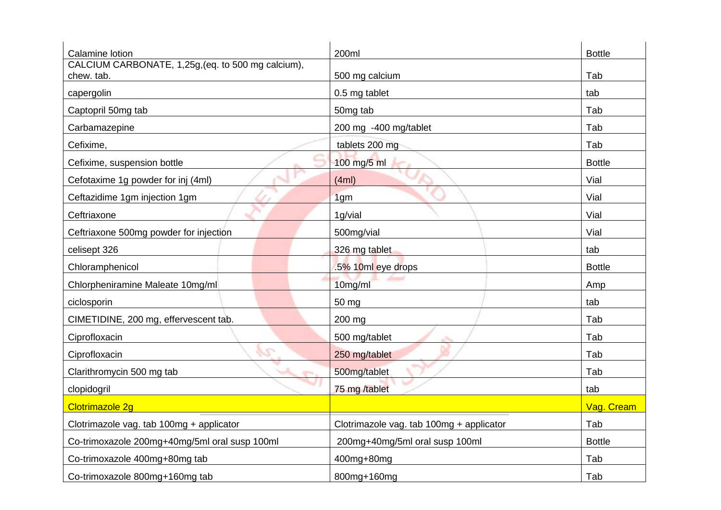| Calamine lotion                                                  | 200ml                                    | <b>Bottle</b> |
|------------------------------------------------------------------|------------------------------------------|---------------|
| CALCIUM CARBONATE, 1,25g, (eq. to 500 mg calcium),<br>chew. tab. | 500 mg calcium                           | Tab           |
| capergolin                                                       | 0.5 mg tablet                            | tab           |
| Captopril 50mg tab                                               | 50mg tab                                 | Tab           |
| Carbamazepine                                                    | 200 mg -400 mg/tablet                    | Tab           |
| Cefixime,                                                        | tablets 200 mg                           | Tab           |
| Cefixime, suspension bottle                                      | 100 mg/5 ml                              | <b>Bottle</b> |
| Cefotaxime 1g powder for inj (4ml)                               | (4ml)                                    | Vial          |
| Ceftazidime 1gm injection 1gm                                    | 1 <sub>qm</sub>                          | Vial          |
| Ceftriaxone                                                      | 1g/vial                                  | Vial          |
| Ceftriaxone 500mg powder for injection                           | 500mg/vial                               | Vial          |
| celisept 326                                                     | 326 mg tablet                            | tab           |
| Chloramphenicol                                                  | .5% 10ml eye drops                       | <b>Bottle</b> |
| Chlorpheniramine Maleate 10mg/ml                                 | 10mg/ml                                  | Amp           |
| ciclosporin                                                      | 50 mg                                    | tab           |
| CIMETIDINE, 200 mg, effervescent tab.                            | 200 mg                                   | Tab           |
| Ciprofloxacin                                                    | 500 mg/tablet                            | Tab           |
| Ciprofloxacin                                                    | 250 mg/tablet                            | Tab           |
| Clarithromycin 500 mg tab                                        | 500mg/tablet                             | Tab           |
| clopidogril                                                      | 75 mg /tablet                            | tab           |
| <b>Clotrimazole 2g</b>                                           |                                          | Vag. Cream    |
| Clotrimazole vag. tab 100mg + applicator                         | Clotrimazole vag. tab 100mg + applicator | Tab           |
| Co-trimoxazole 200mg+40mg/5ml oral susp 100ml                    | 200mg+40mg/5ml oral susp 100ml           | <b>Bottle</b> |
| Co-trimoxazole 400mg+80mg tab                                    | 400mg+80mg                               | Tab           |
| Co-trimoxazole 800mg+160mg tab                                   | 800mg+160mg                              | Tab           |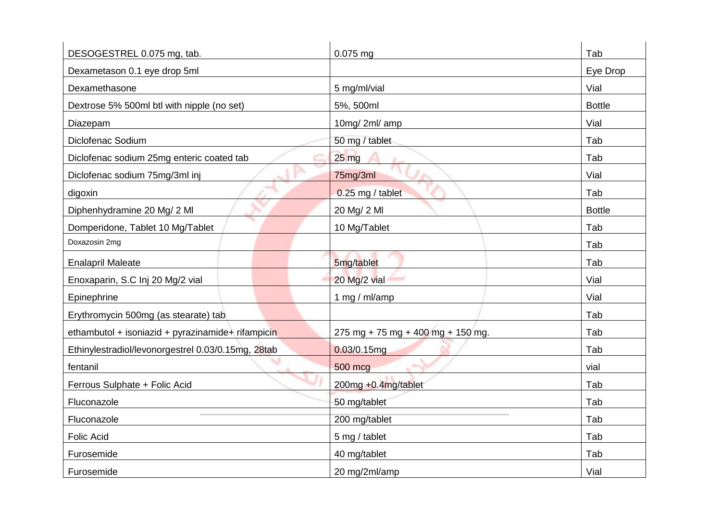| DESOGESTREL 0.075 mg, tab.                         | $0.075$ mg                        | Tab           |
|----------------------------------------------------|-----------------------------------|---------------|
| Dexametason 0.1 eye drop 5ml                       |                                   | Eye Drop      |
| Dexamethasone                                      | 5 mg/ml/vial                      | Vial          |
| Dextrose 5% 500ml btl with nipple (no set)         | 5%, 500ml                         | <b>Bottle</b> |
| Diazepam                                           | 10mg/2ml/amp                      | Vial          |
| Diclofenac Sodium                                  | 50 mg / tablet                    | Tab           |
| Diclofenac sodium 25mg enteric coated tab          | $25 \text{ mg}$                   | Tab           |
| Diclofenac sodium 75mg/3ml inj                     | 75mg/3ml                          | Vial          |
| digoxin                                            | 0.25 mg / tablet                  | Tab           |
| Diphenhydramine 20 Mg/ 2 Ml                        | 20 Mg/ 2 MI                       | <b>Bottle</b> |
| Domperidone, Tablet 10 Mg/Tablet                   | 10 Mg/Tablet                      | Tab           |
| Doxazosin 2mg                                      |                                   | Tab           |
| <b>Enalapril Maleate</b>                           | 5mg/tablet                        | Tab           |
| Enoxaparin, S.C Inj 20 Mg/2 vial                   | 20 Mg/2 vial                      | Vial          |
| Epinephrine                                        | 1 mg / ml/amp                     | Vial          |
| Erythromycin 500mg (as stearate) tab               |                                   | Tab           |
| ethambutol + isoniazid + pyrazinamide+ rifampicin  | 275 mg + 75 mg + 400 mg + 150 mg. | Tab           |
| Ethinylestradiol/levonorgestrel 0.03/0.15mg, 28tab | $0.03/0.15$ mg                    | Tab           |
| fentanil                                           | 500 mcg                           | vial          |
| Ferrous Sulphate + Folic Acid                      | 200mg +0.4mg/tablet               | Tab           |
| Fluconazole                                        | 50 mg/tablet                      | Tab           |
| Fluconazole                                        | 200 mg/tablet                     | Tab           |
| <b>Folic Acid</b>                                  | 5 mg / tablet                     | Tab           |
| Furosemide                                         | 40 mg/tablet                      | Tab           |
| Furosemide                                         | 20 mg/2ml/amp                     | Vial          |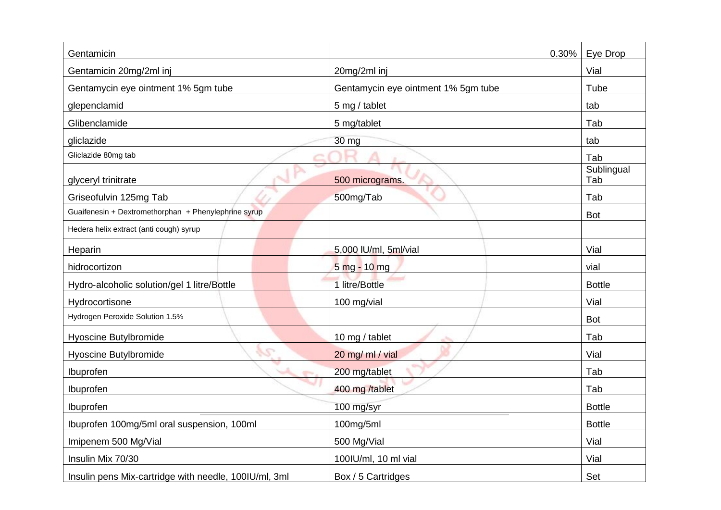| Gentamicin                                            | 0.30%                               | Eye Drop          |
|-------------------------------------------------------|-------------------------------------|-------------------|
| Gentamicin 20mg/2ml inj                               | 20mg/2ml inj                        | Vial              |
| Gentamycin eye ointment 1% 5gm tube                   | Gentamycin eye ointment 1% 5gm tube | Tube              |
| glepenclamid                                          | 5 mg / tablet                       | tab               |
| Glibenclamide                                         | 5 mg/tablet                         | Tab               |
| gliclazide                                            | 30 mg                               | tab               |
| Gliclazide 80mg tab                                   |                                     | Tab               |
| glyceryl trinitrate                                   | 500 micrograms.                     | Sublingual<br>Tab |
| Griseofulvin 125mg Tab                                | 500mg/Tab                           | Tab               |
| Guaifenesin + Dextromethorphan + Phenylephrine syrup  |                                     | <b>Bot</b>        |
| Hedera helix extract (anti cough) syrup               |                                     |                   |
| Heparin                                               | 5,000 IU/ml, 5ml/vial               | Vial              |
| hidrocortizon                                         | 5 mg - 10 mg                        | vial              |
| Hydro-alcoholic solution/gel 1 litre/Bottle           | 1 litre/Bottle                      | <b>Bottle</b>     |
| Hydrocortisone                                        | 100 mg/vial                         | Vial              |
| Hydrogen Peroxide Solution 1.5%                       |                                     | <b>Bot</b>        |
| <b>Hyoscine Butylbromide</b>                          | 10 mg / tablet                      | Tab               |
| S<br>Hyoscine Butylbromide                            | 20 mg/ ml / vial                    | Vial              |
| Ibuprofen                                             | 200 mg/tablet                       | Tab               |
| Ibuprofen                                             | 400 mg /tablet                      | Tab               |
| Ibuprofen                                             | 100 mg/syr                          | <b>Bottle</b>     |
| Ibuprofen 100mg/5ml oral suspension, 100ml            | 100mg/5ml                           | <b>Bottle</b>     |
| Imipenem 500 Mg/Vial                                  | 500 Mg/Vial                         | Vial              |
| Insulin Mix 70/30                                     | 100IU/ml, 10 ml vial                | Vial              |
| Insulin pens Mix-cartridge with needle, 100IU/ml, 3ml | Box / 5 Cartridges                  | Set               |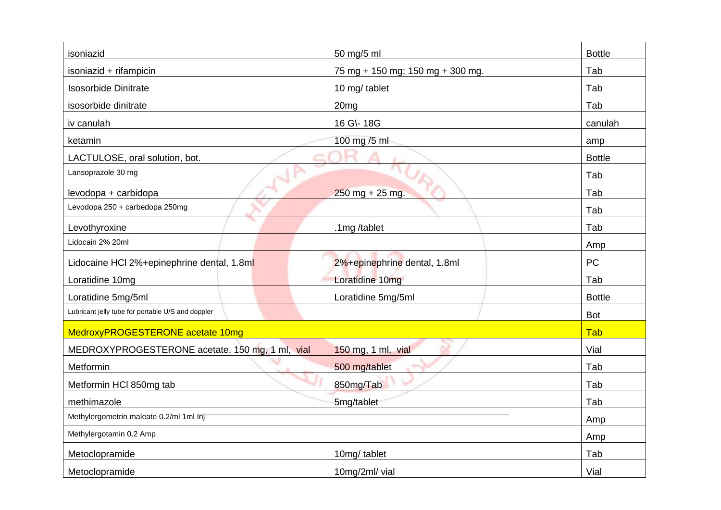| isoniazid                                         | 50 mg/5 ml                       | <b>Bottle</b> |
|---------------------------------------------------|----------------------------------|---------------|
| isoniazid + rifampicin                            | 75 mg + 150 mg; 150 mg + 300 mg. | Tab           |
| <b>Isosorbide Dinitrate</b>                       | 10 mg/ tablet                    | Tab           |
| isosorbide dinitrate                              | 20 <sub>mg</sub>                 | Tab           |
| iv canulah                                        | 16 G\- 18G                       | canulah       |
| ketamin                                           | 100 mg /5 ml                     | amp           |
| LACTULOSE, oral solution, bot.                    |                                  | <b>Bottle</b> |
| Lansoprazole 30 mg                                |                                  | Tab           |
| levodopa + carbidopa                              | $250$ mg + 25 mg.                | Tab           |
| Levodopa 250 + carbedopa 250mg                    |                                  | Tab           |
| Levothyroxine                                     | .1mg /tablet                     | Tab           |
| Lidocain 2% 20ml                                  |                                  | Amp           |
| Lidocaine HCl 2%+epinephrine dental, 1.8ml        | 2%+epinephrine dental, 1.8ml     | <b>PC</b>     |
| Loratidine 10mg                                   | Loratidine 10mg                  | Tab           |
| Loratidine 5mg/5ml                                | Loratidine 5mg/5ml               | <b>Bottle</b> |
| Lubricant jelly tube for portable U/S and doppler |                                  | <b>Bot</b>    |
| MedroxyPROGESTERONE acetate 10mg                  |                                  | Tab           |
| MEDROXYPROGESTERONE acetate, 150 mg, 1 ml, vial   | 150 mg, 1 ml, vial               | Vial          |
| Metformin                                         | 500 mg/tablet                    | Tab           |
| Metformin HCI 850mg tab                           | 850mg/Tab                        | Tab           |
| methimazole                                       | 5mg/tablet                       | Tab           |
| Methylergometrin maleate 0.2/ml 1ml Inj           |                                  | Amp           |
| Methylergotamin 0.2 Amp                           |                                  | Amp           |
| Metoclopramide                                    | 10mg/tablet                      | Tab           |
| Metoclopramide                                    | 10mg/2ml/ vial                   | Vial          |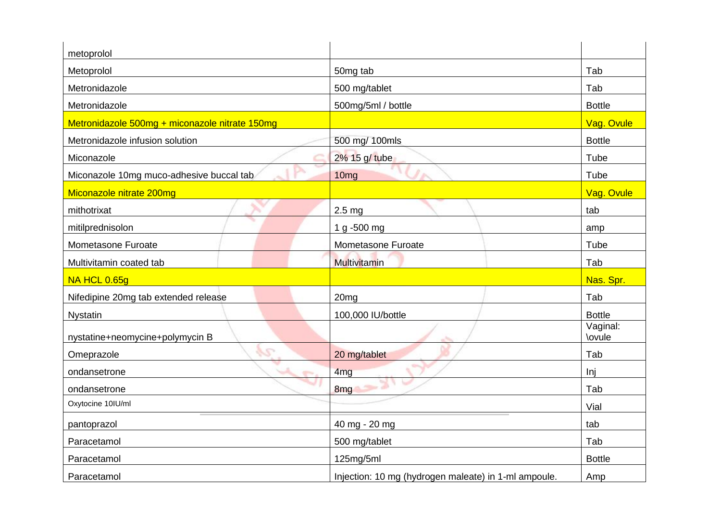| metoprolol                                     |                        |                    |
|------------------------------------------------|------------------------|--------------------|
| Metoprolol                                     | 50mg tab               | Tab                |
| Metronidazole                                  | 500 mg/tablet          | Tab                |
| Metronidazole                                  | 500mg/5ml / bottle     | <b>Bottle</b>      |
| Metronidazole 500mg + miconazole nitrate 150mg |                        | Vag. Ovule         |
| Metronidazole infusion solution                | 500 mg/ 100mls         | <b>Bottle</b>      |
| Miconazole                                     | 2% 15 g/ tube          | Tube               |
| Miconazole 10mg muco-adhesive buccal tab       | 10 <sub>mg</sub><br>a. | Tube               |
| Miconazole nitrate 200mg                       |                        | Vag. Ovule         |
| mithotrixat                                    | 2.5 <sub>mg</sub>      | tab                |
| mitilprednisolon                               | 1 g -500 mg            | amp                |
| Mometasone Furoate                             | Mometasone Furoate     | Tube               |
| Multivitamin coated tab                        | Multivitamin           | Tab                |
| <b>NA HCL 0.65g</b>                            |                        | Nas. Spr.          |
| Nifedipine 20mg tab extended release           | 20 <sub>mg</sub>       | Tab                |
| <b>Nystatin</b>                                | 100,000 IU/bottle      | <b>Bottle</b>      |
| nystatine+neomycine+polymycin B                |                        | Vaginal:<br>\ovule |
| $\mathcal{L}$<br>Omeprazole                    | 20 mg/tablet           | Tab                |
| ondansetrone                                   | 4 <sub>mg</sub>        | Inj                |
| ondansetrone                                   | 8 <sub>mg</sub>        | Tab                |
| Oxytocine 10IU/ml                              |                        | Vial               |
| pantoprazol                                    | 40 mg - 20 mg          | tab                |
| Paracetamol                                    | 500 mg/tablet          | Tab                |
|                                                |                        |                    |
| Paracetamol                                    | 125mg/5ml              | <b>Bottle</b>      |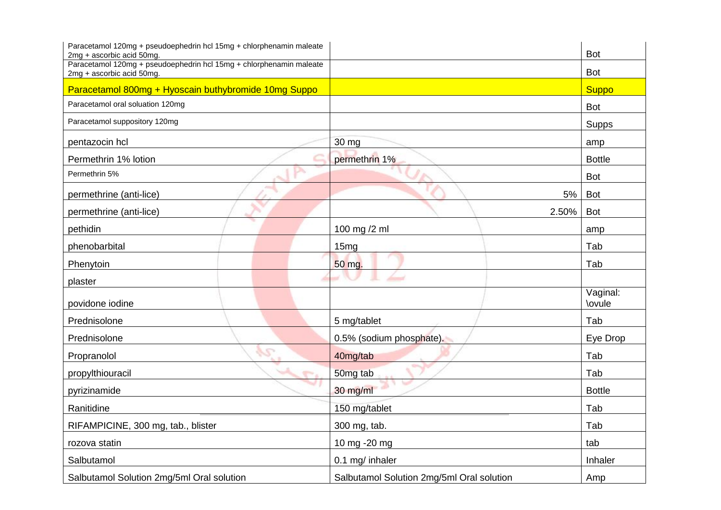| Paracetamol 120mg + pseudoephedrin hcl 15mg + chlorphenamin maleate<br>2mg + ascorbic acid 50mg. |                                           | <b>Bot</b>                |
|--------------------------------------------------------------------------------------------------|-------------------------------------------|---------------------------|
| Paracetamol 120mg + pseudoephedrin hcl 15mg + chlorphenamin maleate<br>2mg + ascorbic acid 50mg. |                                           | <b>Bot</b>                |
| Paracetamol 800mg + Hyoscain buthybromide 10mg Suppo                                             |                                           | <b>Suppo</b>              |
| Paracetamol oral soluation 120mg                                                                 |                                           | <b>Bot</b>                |
| Paracetamol suppository 120mg                                                                    |                                           | <b>Supps</b>              |
| pentazocin hcl                                                                                   | 30 mg                                     | amp                       |
| Permethrin 1% lotion                                                                             | permethrin 1%                             | <b>Bottle</b>             |
| Permethrin 5%                                                                                    |                                           | Bot                       |
| permethrine (anti-lice)                                                                          | 5%                                        | <b>Bot</b>                |
| permethrine (anti-lice)                                                                          | 2.50%                                     | <b>Bot</b>                |
| pethidin                                                                                         | 100 mg /2 ml                              | amp                       |
| phenobarbital                                                                                    | 15mg                                      | Tab                       |
| Phenytoin                                                                                        | 50 mg.                                    | Tab                       |
| plaster                                                                                          |                                           |                           |
| povidone iodine                                                                                  |                                           | Vaginal:<br><b>\ovule</b> |
| Prednisolone                                                                                     | 5 mg/tablet                               | Tab                       |
| Prednisolone                                                                                     | 0.5% (sodium phosphate).                  | Eye Drop                  |
| Propranolol                                                                                      | 40mg/tab                                  | Tab                       |
| propylthiouracil                                                                                 | 50mg tab                                  | Tab                       |
| pyrizinamide                                                                                     | 30 mg/ml                                  | <b>Bottle</b>             |
| Ranitidine                                                                                       | 150 mg/tablet                             | Tab                       |
| RIFAMPICINE, 300 mg, tab., blister                                                               | 300 mg, tab.                              | Tab                       |
| rozova statin                                                                                    | 10 mg -20 mg                              | tab                       |
| Salbutamol                                                                                       | 0.1 mg/ inhaler                           | Inhaler                   |
| Salbutamol Solution 2mg/5ml Oral solution                                                        | Salbutamol Solution 2mg/5ml Oral solution | Amp                       |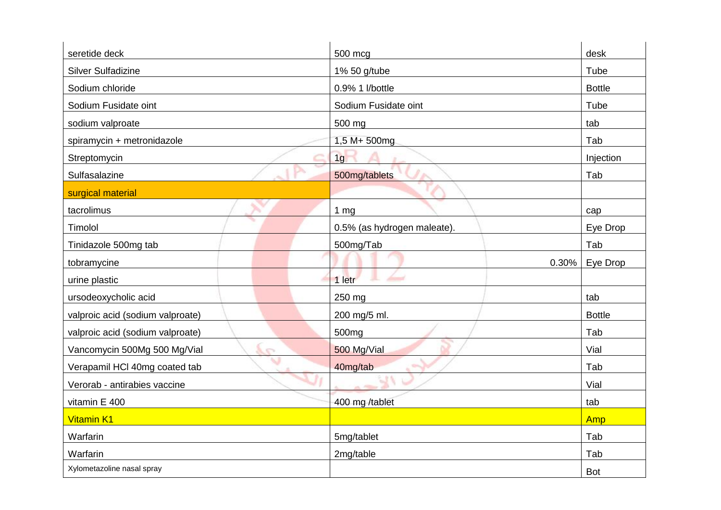| seretide deck                    | 500 mcg                     | desk              |
|----------------------------------|-----------------------------|-------------------|
| <b>Silver Sulfadizine</b>        | 1% 50 g/tube                | Tube              |
| Sodium chloride                  | 0.9% 1 l/bottle             | <b>Bottle</b>     |
| Sodium Fusidate oint             | Sodium Fusidate oint        | Tube              |
| sodium valproate                 | 500 mg                      | tab               |
| spiramycin + metronidazole       | 1,5 M+ 500mg                | Tab               |
| Streptomycin                     | 1g                          | Injection         |
| Sulfasalazine                    | 500mg/tablets               | Tab               |
| surgical material                |                             |                   |
| tacrolimus                       | 1 <sub>mg</sub>             | cap               |
| Timolol                          | 0.5% (as hydrogen maleate). | Eye Drop          |
| Tinidazole 500mg tab             | 500mg/Tab                   | Tab               |
| tobramycine                      |                             | Eye Drop<br>0.30% |
| urine plastic                    | 1 letr                      |                   |
| ursodeoxycholic acid             | 250 mg                      | tab               |
| valproic acid (sodium valproate) | 200 mg/5 ml.                | <b>Bottle</b>     |
| valproic acid (sodium valproate) | 500mg                       | Tab               |
| Vancomycin 500Mg 500 Mg/Vial     | 500 Mg/Vial<br>e            | Vial              |
| Verapamil HCl 40mg coated tab    | 40mg/tab                    | Tab               |
| Verorab - antirabies vaccine     |                             | Vial              |
| vitamin E 400                    | 400 mg /tablet              | tab               |
| <b>Vitamin K1</b>                |                             | Amp               |
| Warfarin                         | 5mg/tablet                  | Tab               |
| Warfarin                         | 2mg/table                   | Tab               |
| Xylometazoline nasal spray       |                             | <b>Bot</b>        |